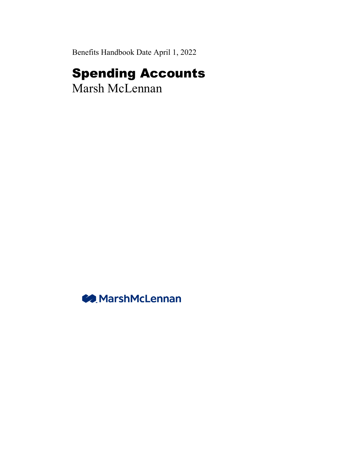Benefits Handbook Date April 1, 2022

# Spending Accounts

Marsh McLennan

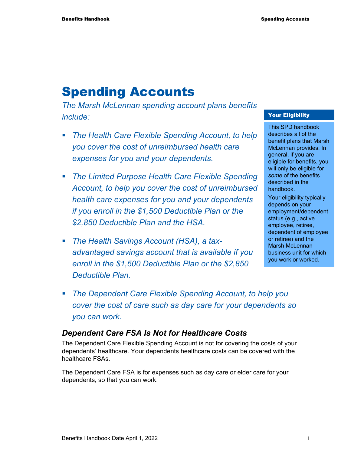## Spending Accounts

*The Marsh McLennan spending account plans benefits include:* 

- *The Health Care Flexible Spending Account, to help you cover the cost of unreimbursed health care expenses for you and your dependents.*
- *The Limited Purpose Health Care Flexible Spending Account, to help you cover the cost of unreimbursed health care expenses for you and your dependents if you enroll in the \$1,500 Deductible Plan or the \$2,850 Deductible Plan and the HSA.*
- *The Health Savings Account (HSA), a taxadvantaged savings account that is available if you enroll in the \$1,500 Deductible Plan or the \$2,850 Deductible Plan.*

#### Your Eligibility

This SPD handbook describes all of the benefit plans that Marsh McLennan provides. In general, if you are eligible for benefits, you will only be eligible for *some* of the benefits described in the handbook.

Your eligibility typically depends on your employment/dependent status (e.g., active employee, retiree, dependent of employee or retiree) and the Marsh McLennan business unit for which you work or worked.

 *The Dependent Care Flexible Spending Account, to help you cover the cost of care such as day care for your dependents so you can work.* 

### *Dependent Care FSA Is Not for Healthcare Costs*

The Dependent Care Flexible Spending Account is not for covering the costs of your dependents' healthcare. Your dependents healthcare costs can be covered with the healthcare FSAs.

The Dependent Care FSA is for expenses such as day care or elder care for your dependents, so that you can work.